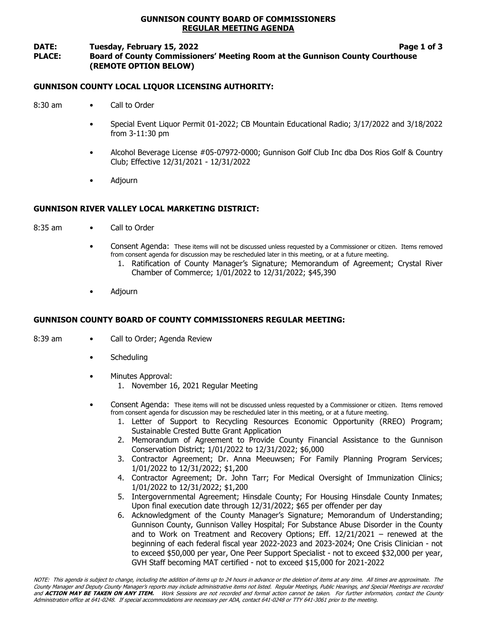# GUNNISON COUNTY BOARD OF COMMISSIONERS REGULAR MEETING AGENDA

### DATE: Tuesday, February 15, 2022 **Page 1 of 3** Page 1 of 3 PLACE: Board of County Commissioners' Meeting Room at the Gunnison County Courthouse (REMOTE OPTION BELOW)

# GUNNISON COUNTY LOCAL LIQUOR LICENSING AUTHORITY:

- 8:30 am Call to Order
	- Special Event Liquor Permit 01-2022; CB Mountain Educational Radio; 3/17/2022 and 3/18/2022 from 3-11:30 pm
	- Alcohol Beverage License #05-07972-0000; Gunnison Golf Club Inc dba Dos Rios Golf & Country Club; Effective 12/31/2021 - 12/31/2022
	- Adjourn

# GUNNISON RIVER VALLEY LOCAL MARKETING DISTRICT:

- 8:35 am Call to Order
	- Consent Agenda: These items will not be discussed unless requested by a Commissioner or citizen. Items removed from consent agenda for discussion may be rescheduled later in this meeting, or at a future meeting.
		- 1. Ratification of County Manager's Signature; Memorandum of Agreement; Crystal River Chamber of Commerce; 1/01/2022 to 12/31/2022; \$45,390
	- Adjourn

# GUNNISON COUNTY BOARD OF COUNTY COMMISSIONERS REGULAR MEETING:

- 8:39 am Call to Order; Agenda Review
	- **Scheduling**
	- Minutes Approval:
		- 1. November 16, 2021 Regular Meeting
	- Consent Agenda: These items will not be discussed unless requested by a Commissioner or citizen. Items removed from consent agenda for discussion may be rescheduled later in this meeting, or at a future meeting.
		- 1. Letter of Support to Recycling Resources Economic Opportunity (RREO) Program; Sustainable Crested Butte Grant Application
		- 2. Memorandum of Agreement to Provide County Financial Assistance to the Gunnison Conservation District; 1/01/2022 to 12/31/2022; \$6,000
		- 3. Contractor Agreement; Dr. Anna Meeuwsen; For Family Planning Program Services; 1/01/2022 to 12/31/2022; \$1,200
		- 4. Contractor Agreement; Dr. John Tarr; For Medical Oversight of Immunization Clinics; 1/01/2022 to 12/31/2022; \$1,200
		- 5. Intergovernmental Agreement; Hinsdale County; For Housing Hinsdale County Inmates; Upon final execution date through 12/31/2022; \$65 per offender per day
		- 6. Acknowledgment of the County Manager's Signature; Memorandum of Understanding; Gunnison County, Gunnison Valley Hospital; For Substance Abuse Disorder in the County and to Work on Treatment and Recovery Options; Eff.  $12/21/2021$  – renewed at the beginning of each federal fiscal year 2022-2023 and 2023-2024; One Crisis Clinician - not to exceed \$50,000 per year, One Peer Support Specialist - not to exceed \$32,000 per year, GVH Staff becoming MAT certified - not to exceed \$15,000 for 2021-2022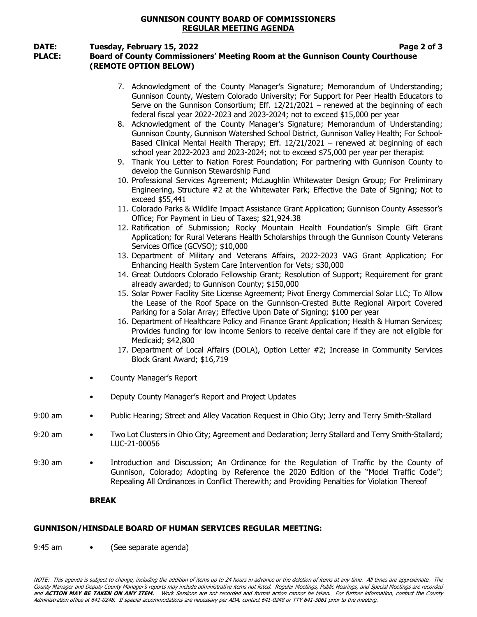### GUNNISON COUNTY BOARD OF COMMISSIONERS REGULAR MEETING AGENDA

### DATE: Tuesday, February 15, 2022 Tuesday, February 15, 2022

# PLACE: Board of County Commissioners' Meeting Room at the Gunnison County Courthouse (REMOTE OPTION BELOW)

|                | <b>BREAK</b>                                                                                                                                                                                                                                                                                                                                                                                                                                                                                                                                                                                                                                                                                                                                                                                                                                                                                                                                                                                                                                                                                                                                                                                                                                                                                                                                                                                                                                                                                                                                                                                                                                                                                                                                                                                                                                                                                                                                                                                                                                                                                                                                                                                                                                                                                                                                                                 |
|----------------|------------------------------------------------------------------------------------------------------------------------------------------------------------------------------------------------------------------------------------------------------------------------------------------------------------------------------------------------------------------------------------------------------------------------------------------------------------------------------------------------------------------------------------------------------------------------------------------------------------------------------------------------------------------------------------------------------------------------------------------------------------------------------------------------------------------------------------------------------------------------------------------------------------------------------------------------------------------------------------------------------------------------------------------------------------------------------------------------------------------------------------------------------------------------------------------------------------------------------------------------------------------------------------------------------------------------------------------------------------------------------------------------------------------------------------------------------------------------------------------------------------------------------------------------------------------------------------------------------------------------------------------------------------------------------------------------------------------------------------------------------------------------------------------------------------------------------------------------------------------------------------------------------------------------------------------------------------------------------------------------------------------------------------------------------------------------------------------------------------------------------------------------------------------------------------------------------------------------------------------------------------------------------------------------------------------------------------------------------------------------------|
| 9:30 am        | Introduction and Discussion; An Ordinance for the Regulation of Traffic by the County of<br>Gunnison, Colorado; Adopting by Reference the 2020 Edition of the "Model Traffic Code";<br>Repealing All Ordinances in Conflict Therewith; and Providing Penalties for Violation Thereof                                                                                                                                                                                                                                                                                                                                                                                                                                                                                                                                                                                                                                                                                                                                                                                                                                                                                                                                                                                                                                                                                                                                                                                                                                                                                                                                                                                                                                                                                                                                                                                                                                                                                                                                                                                                                                                                                                                                                                                                                                                                                         |
| 9:20 am        | Two Lot Clusters in Ohio City; Agreement and Declaration; Jerry Stallard and Terry Smith-Stallard;<br>LUC-21-00056                                                                                                                                                                                                                                                                                                                                                                                                                                                                                                                                                                                                                                                                                                                                                                                                                                                                                                                                                                                                                                                                                                                                                                                                                                                                                                                                                                                                                                                                                                                                                                                                                                                                                                                                                                                                                                                                                                                                                                                                                                                                                                                                                                                                                                                           |
| $9:00$ am<br>٠ | Public Hearing; Street and Alley Vacation Request in Ohio City; Jerry and Terry Smith-Stallard                                                                                                                                                                                                                                                                                                                                                                                                                                                                                                                                                                                                                                                                                                                                                                                                                                                                                                                                                                                                                                                                                                                                                                                                                                                                                                                                                                                                                                                                                                                                                                                                                                                                                                                                                                                                                                                                                                                                                                                                                                                                                                                                                                                                                                                                               |
| ٠              | Deputy County Manager's Report and Project Updates                                                                                                                                                                                                                                                                                                                                                                                                                                                                                                                                                                                                                                                                                                                                                                                                                                                                                                                                                                                                                                                                                                                                                                                                                                                                                                                                                                                                                                                                                                                                                                                                                                                                                                                                                                                                                                                                                                                                                                                                                                                                                                                                                                                                                                                                                                                           |
|                | County Manager's Report                                                                                                                                                                                                                                                                                                                                                                                                                                                                                                                                                                                                                                                                                                                                                                                                                                                                                                                                                                                                                                                                                                                                                                                                                                                                                                                                                                                                                                                                                                                                                                                                                                                                                                                                                                                                                                                                                                                                                                                                                                                                                                                                                                                                                                                                                                                                                      |
|                | 7. Acknowledgment of the County Manager's Signature; Memorandum of Understanding;<br>Gunnison County, Western Colorado University; For Support for Peer Health Educators to<br>Serve on the Gunnison Consortium; Eff. $12/21/2021$ – renewed at the beginning of each<br>federal fiscal year 2022-2023 and 2023-2024; not to exceed \$15,000 per year<br>8. Acknowledgment of the County Manager's Signature; Memorandum of Understanding;<br>Gunnison County, Gunnison Watershed School District, Gunnison Valley Health; For School-<br>Based Clinical Mental Health Therapy; Eff. 12/21/2021 - renewed at beginning of each<br>school year 2022-2023 and 2023-2024; not to exceed \$75,000 per year per therapist<br>9. Thank You Letter to Nation Forest Foundation; For partnering with Gunnison County to<br>develop the Gunnison Stewardship Fund<br>10. Professional Services Agreement; McLaughlin Whitewater Design Group; For Preliminary<br>Engineering, Structure #2 at the Whitewater Park; Effective the Date of Signing; Not to<br>exceed \$55,441<br>11. Colorado Parks & Wildlife Impact Assistance Grant Application; Gunnison County Assessor's<br>Office; For Payment in Lieu of Taxes; \$21,924.38<br>12. Ratification of Submission; Rocky Mountain Health Foundation's Simple Gift Grant<br>Application; for Rural Veterans Health Scholarships through the Gunnison County Veterans<br>Services Office (GCVSO); \$10,000<br>13. Department of Military and Veterans Affairs, 2022-2023 VAG Grant Application; For<br>Enhancing Health System Care Intervention for Vets; \$30,000<br>14. Great Outdoors Colorado Fellowship Grant; Resolution of Support; Requirement for grant<br>already awarded; to Gunnison County; \$150,000<br>15. Solar Power Facility Site License Agreement; Pivot Energy Commercial Solar LLC; To Allow<br>the Lease of the Roof Space on the Gunnison-Crested Butte Regional Airport Covered<br>Parking for a Solar Array; Effective Upon Date of Signing; \$100 per year<br>16. Department of Healthcare Policy and Finance Grant Application; Health & Human Services;<br>Provides funding for low income Seniors to receive dental care if they are not eligible for<br>Medicaid; \$42,800<br>17. Department of Local Affairs (DOLA), Option Letter #2; Increase in Community Services<br>Block Grant Award; \$16,719 |
|                |                                                                                                                                                                                                                                                                                                                                                                                                                                                                                                                                                                                                                                                                                                                                                                                                                                                                                                                                                                                                                                                                                                                                                                                                                                                                                                                                                                                                                                                                                                                                                                                                                                                                                                                                                                                                                                                                                                                                                                                                                                                                                                                                                                                                                                                                                                                                                                              |

# GUNNISON/HINSDALE BOARD OF HUMAN SERVICES REGULAR MEETING:

9:45 am • (See separate agenda)